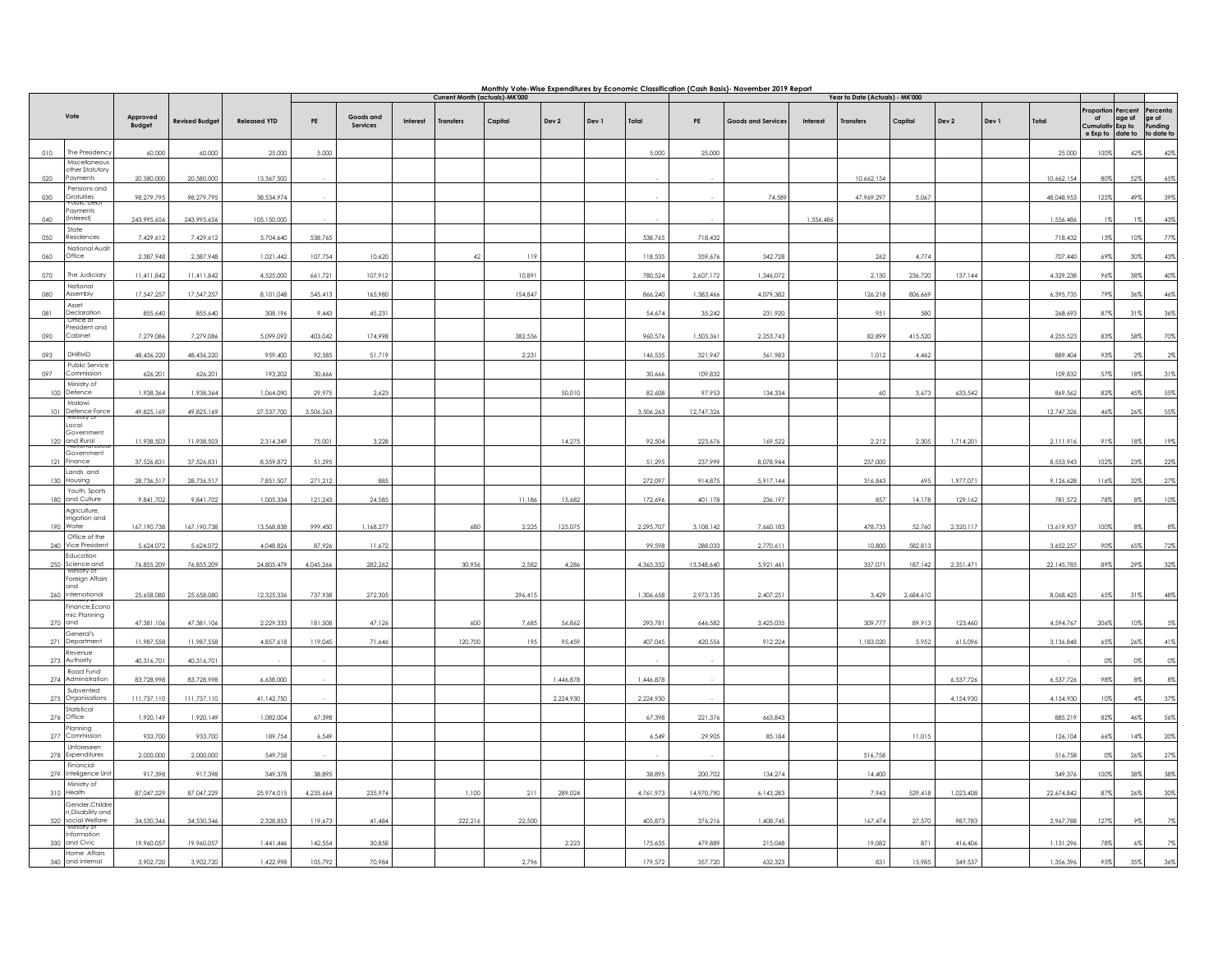|                                     |                                                           |                           |                           | Monthly Vote-Wise Expenditures by Economic Classification (Cash Basis)- November 2019 Report<br>Year to Date (Actuals) - MK'000<br>Current Month (actuals)-MK'000 |               |                              |          |                  |         |                        |       |                        |            |                    |           |                  |           |                        |       |            |                        |             |                                                  |
|-------------------------------------|-----------------------------------------------------------|---------------------------|---------------------------|-------------------------------------------------------------------------------------------------------------------------------------------------------------------|---------------|------------------------------|----------|------------------|---------|------------------------|-------|------------------------|------------|--------------------|-----------|------------------|-----------|------------------------|-------|------------|------------------------|-------------|--------------------------------------------------|
|                                     |                                                           |                           |                           |                                                                                                                                                                   |               |                              |          |                  |         |                        |       |                        |            |                    |           |                  |           |                        |       |            | roportion              | Percent     | Percenta                                         |
| Vote                                |                                                           | Approved<br><b>Budget</b> | <b>Revised Budget</b>     | <b>Released YTD</b>                                                                                                                                               | $\mathsf{PE}$ | Goods and<br><b>Services</b> | Interest | <b>Transfers</b> | Capital | Dev 2                  | Dev 1 | Total                  | PE         | Goods and Service: | Interest  | <b>Transfers</b> | Capital   | Dev 2                  | Dev 1 | Total      | of<br>Cumulativ Exp to | age of      | lae of<br>Funding<br>e Exp to date to to date to |
| 010                                 | The Presidenc                                             | 60,000                    | 60,000                    | 25,000                                                                                                                                                            | 5,000         |                              |          |                  |         |                        |       | 5,000                  | 25,000     |                    |           |                  |           |                        |       | 25,000     | 100%                   | 42%         | 42%                                              |
| 020                                 | Miscellaneous<br>ther Statutory<br>Payments               | 20,580,000                | 20,580,000                | 13,367,500                                                                                                                                                        |               |                              |          |                  |         |                        |       |                        |            |                    |           | 10,662,154       |           |                        |       | 10,662,154 | 80%                    | 52%         | 65%                                              |
| 030                                 | Pensions and<br>Gratuities                                | 98,279,795                | 98,279,795                | 38.534.974                                                                                                                                                        |               |                              |          |                  |         |                        |       |                        |            | 74.589             |           | 47,969,297       | 5,067     |                        |       | 48,048,953 | 125%                   | 49%         | 39%                                              |
| 040                                 | <b>UDIC Dec</b><br>ayments<br>Interest)                   | 243,995,656               | 243,995,656               | 105, 150,000                                                                                                                                                      |               |                              |          |                  |         |                        |       |                        |            |                    | 1,556,486 |                  |           |                        |       | 1,556,486  | 1%                     | 1%          | $43\%$                                           |
| State<br>050                        | Residences                                                | 7,429,612                 | 7,429,612                 | 5,704,640                                                                                                                                                         | 538,765       |                              |          |                  |         |                        |       | 538,765                | 718,432    |                    |           |                  |           |                        |       | 718,432    | 13%                    | 10%         | 77%                                              |
| Office<br>060                       | National Audit                                            | 2,387,948                 | 2,387,948                 | 1,021,442                                                                                                                                                         | 107,754       | 10,620                       |          | 42               | 119     |                        |       | 118,535                | 359,676    | 342,728            |           | 262              | 4,774     |                        |       | 707,440    | 69%                    | 30%         | 43%                                              |
| 070                                 | The Judiciary                                             | 11,411,842                | 11,411,842                | 4,525,000                                                                                                                                                         | 661,721       | 107,912                      |          |                  | 10,891  |                        |       | 780.524                | 2,607,172  | 1,346,072          |           | 2.130            | 236.720   | 137,144                |       | 4,329,238  | 96%                    | 38%         | 40%                                              |
| 080                                 | National<br>Assembly                                      | 17,547,257                | 17,547,257                | 8,101,048                                                                                                                                                         | 545,413       | 165,980                      |          |                  | 154,847 |                        |       | 866,240                | 1,383,466  | 4,079,382          |           | 126,218          | 806,669   |                        |       | 6,395,735  | 79%                    | 36%         | $46\%$                                           |
| Asset<br>081                        | Declaration<br>лисе от                                    | 855,640                   | 855,640                   | 308,196                                                                                                                                                           | 9,443         | 45,231                       |          |                  |         |                        |       | 54,674                 | 35,242     | 231,920            |           | 951              | 580       |                        |       | 268,693    | 87%                    | 31%         | 36%                                              |
| 090                                 | resident and<br>Cabinet                                   | 7,279,086                 | 7,279,086                 | 5,099,092                                                                                                                                                         | 403,042       | 174,998                      |          |                  | 382,536 |                        |       | 960,576                | 1,503,361  | 2,253,743          |           | 82,899           | 415,520   |                        |       | 4,255,523  | 83%                    | 58%         | $70\%$                                           |
| 093                                 | DHRMD                                                     | 48,436,220                | 48,436,220                | 959,400                                                                                                                                                           | 92,585        | 51,719                       |          |                  | 2,231   |                        |       | 146,535                | 321,947    | 561,983            |           | 1,012            | 4,462     |                        |       | 889,404    | 93%                    | $2\%$       | 2%                                               |
| 097                                 | Public Service<br>Commission                              | 626,201                   | 626,201                   | 193,202                                                                                                                                                           | 30,666        |                              |          |                  |         |                        |       | 30,666                 | 109,832    |                    |           |                  |           |                        |       | 109,832    | 57%                    | 18%         | 31%                                              |
| 100 Defence                         | Ministry of<br>Malawi                                     | 1,938,364                 | 1,938,364                 | 1,064,090                                                                                                                                                         | 29,975        | 2,623                        |          |                  |         | 50,010                 |       | 82,608                 | 97,953     | 134,334            |           | 60               | 3,673     | 633,542                |       | 869,562    | 82%                    | 45%         | 55%                                              |
|                                     | 101 Defence Force<br>VILIE ILA Q                          | 49,825,169                | 49,825,169                | 27,537,700                                                                                                                                                        | 3,506,263     |                              |          |                  |         |                        |       | 3,506,263              | 12,747,326 |                    |           |                  |           |                        |       | 12,747,326 | 46%                    | 26%         | 55%                                              |
| Local<br>120 and Rural              | Government                                                | 11,938,503                | 11,938,503                | 2,314,349                                                                                                                                                         | 75,001        | 3,228                        |          |                  |         | 14,275                 |       | 92,504                 | 223,676    | 169,522            |           | 2,212            | 2,305     | 1,714,201              |       | 2,111,916  | 91%                    | 18%         | 19%                                              |
| 121 Finance                         | Government                                                | 37.526.831                | 37.526.831                | 8,359,872                                                                                                                                                         | 51,295        |                              |          |                  |         |                        |       | 51,295                 | 237,999    | 8.078.944          |           | 237,000          |           |                        |       | 8.553.943  | 102%                   | 23%         | $22\%$                                           |
| 130 Housing                         | Lands and                                                 | 28,736,517                | 28,736,517                | 7,851,507                                                                                                                                                         | 271,212       | 885                          |          |                  |         |                        |       | 272,097                | 914,875    | 5,917,144          |           | 316,843          | 695       | 1,977,071              |       | 9,126,628  | 116%                   | 32%         | 27%                                              |
| 180                                 | Youth, Sports<br>and Culture<br>Agriculture,              | 9,841,702                 | 9,841,702                 | 1,005,334                                                                                                                                                         | 121,243       | 24,585                       |          |                  | 11,186  | 15,682                 |       | 172,696                | 401,178    | 236,197            |           | 857              | 14,178    | 129,162                |       | 781,572    | 78%                    | $8\%$       | 10%                                              |
| 190 Water                           | migation and                                              | 167, 190, 738             | 167,190,738               | 13,568,838                                                                                                                                                        | 999,450       | 1,168,277                    |          | 680              | 2,225   | 125,075                |       | 2,295,707              | 3,108,142  | 7,660,183          |           | 478,735          | 52,760    | 2,320,117              |       | 13,619,937 | 100%                   | $8\%$       | 8%                                               |
| 240 Vice Presiden                   | Office of the                                             | 5,624,072                 | 5,624,072                 | 4.048.826                                                                                                                                                         | 87.926        | 11,672                       |          |                  |         |                        |       | 99.598                 | 288.033    | 2,770,611          |           | 10.800           | 582.813   |                        |       | 3,652,257  | 90%                    | 65%         | 72%                                              |
| 250 Science and                     | Education<br>Ministry of                                  | 76,855,209                | 76,855,209                | 24,805,479                                                                                                                                                        | 4,045,266     | 282,262                      |          | 30,936           | 2,582   | 4.286                  |       | 4,365,332              | 13,348,640 | 5,921,461          |           | 337,071          | 187.142   | 2,351,471              |       | 22,145,785 | 89%                    | 29%         | $32\%$                                           |
| and<br>260 international            | Foreign Affairs                                           | 25,658,080                | 25,658,080                | 12,325,336                                                                                                                                                        | 737,938       | 272,305                      |          |                  | 296,415 |                        |       | 1,306,658              | 2,973,135  | 2,407,251          |           | 3,429            | 2,684,610 |                        |       | 8,068,425  | 65%                    | 31%         | 48%                                              |
|                                     | Finance, Econo<br>mic Planning                            |                           |                           |                                                                                                                                                                   |               |                              |          |                  |         |                        |       |                        |            |                    |           |                  |           |                        |       |            |                        |             |                                                  |
| 270 and                             | General's                                                 | 47,381,106                | 47,381,106                | 2,229,333                                                                                                                                                         | 181,508       | 47,126                       |          | 600              | 7,685   | 56,862                 |       | 293,781                | 646,582    | 3,425,035          |           | 309,777          | 89,913    | 123,460                |       | 4,594,767  | 206%                   | 10%         | 5%                                               |
| 271 Department                      | Revenue                                                   | 11,987,558                | 11,987,558                | 4,857,618                                                                                                                                                         | 119,045       | 71,646                       |          | 120,700          | 195     | 95,459                 |       | 407,045                | 420,556    | 912,224            |           | 1,183,020        | 5,952     | 615,096                |       | 3,136,848  | 65%                    | 26%         | 41%                                              |
| 273 Authority<br>274 Administration | Road Fund                                                 | 40,316,701                | 40,316,701                |                                                                                                                                                                   |               |                              |          |                  |         |                        |       |                        |            |                    |           |                  |           |                        |       | 6,537,726  | 0%                     | 0%          | 0%                                               |
| 275 Organisations                   | Subvented                                                 | 83,728,998<br>111,737,110 | 83,728,998<br>111,737,110 | 6,638,000<br>41,142,750                                                                                                                                           |               |                              |          |                  |         | 1,446,878<br>2,224,930 |       | 1,446,878<br>2,224,930 |            |                    |           |                  |           | 6,537,726<br>4,154,930 |       | 4,154,930  | 98%<br>10%             | 8%<br>$4\%$ | $8\%$<br>37%                                     |
| 276 Office                          | Statistical                                               | 1,920,149                 | 1,920,149                 | 1,082,004                                                                                                                                                         | 67,398        |                              |          |                  |         |                        |       | 67,398                 | 221,376    | 663,843            |           |                  |           |                        |       | 885,219    | 82%                    | 46%         | 56%                                              |
| 277                                 | Planning<br>Commission                                    | 933,700                   | 933,700                   | 189,754                                                                                                                                                           | 6,549         |                              |          |                  |         |                        |       | 6,549                  | 29,905     | 85,184             |           |                  | 11,015    |                        |       | 126,104    | 66%                    | 14%         | 20%                                              |
| 278 Expenditures                    | Unforeseen                                                | 2,000,000                 | 2,000,000                 | 549,758                                                                                                                                                           |               |                              |          |                  |         |                        |       |                        |            |                    |           | 516,758          |           |                        |       | 516,758    | 0%                     | 26%         | 27%                                              |
|                                     | Financial<br>279 Inteligence Uni                          | 917,398                   | 917.398                   | 349,378                                                                                                                                                           | 38,895        |                              |          |                  |         |                        |       | 38.895                 | 200,702    | 134,274            |           | 14.400           |           |                        |       | 349,376    | 100%                   | 38%         | 38%                                              |
| 310 Health                          | Ministry of                                               | 87,047,229                | 87,047,229                | 25,974,015                                                                                                                                                        | 4,235,664     | 235,974                      |          | 1,100            | 211     | 289,024                |       | 4,761,973              | 14,970,790 | 6,143,283          |           | 7,943            | 529,418   | 1,023,408              |       | 22,674,842 | 87%                    | 26%         | 30%                                              |
|                                     | Gender, Childre<br>n,Disability and<br>320 social Welfare | 34,530,346                | 34,530,346                | 2,328,853                                                                                                                                                         | 119,673       | 41,484                       |          | 222,216          | 22,500  |                        |       | 405,873                | 376,216    | 1,408,745          |           | 167,474          | 27,570    | 987,783                |       | 2,967,788  | 127%                   | 9%          | 7%                                               |
| 330 and Civic                       | Ministry of<br>Information                                | 19,960,057                | 19,960,057                | 1,441,446                                                                                                                                                         | 142,554       | 30,858                       |          |                  |         | 2,223                  |       | 175,635                | 479,889    | 215,048            |           | 19,082           | 871       | 416,406                |       | 1,131,296  | 78%                    | 6%          |                                                  |
| 340 and Internal                    | Home Affairs                                              | 3,902,720                 | 3,902,720                 | 1,422,998                                                                                                                                                         | 105,792       | 70,984                       |          |                  | 2,796   |                        |       | 179,572                | 357,720    | 632,323            |           | 831              | 15,985    | 349,537                |       | 1,356,396  | 95%                    | 35%         | 36%                                              |